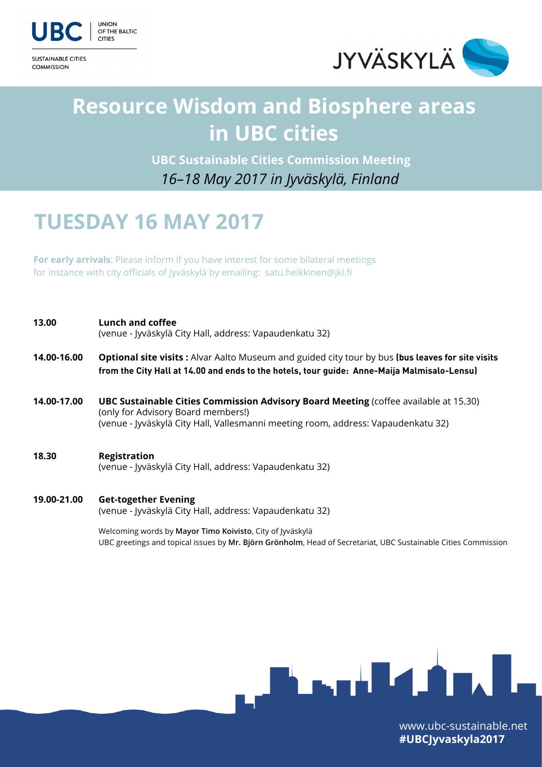

OF THE BALTIC

**COMMISSION** 



# **Resource Wisdom and Biosphere areas in UBC cities**

*16–18 May 2017 in Jyväskylä, Finland*  **UBC Sustainable Cities Commission Meeting**

## **TUESDAY 16 MAY 2017**

**For early arrivals**: Please inform if you have interest for some bilateral meetings for instance with city officials of Jyväskylä by emailing: satu.heikkinen@jkl.fi

| 13.00       | Lunch and coffee<br>(venue - Jyväskylä City Hall, address: Vapaudenkatu 32)                                                                                                                                            |
|-------------|------------------------------------------------------------------------------------------------------------------------------------------------------------------------------------------------------------------------|
| 14.00-16.00 | <b>Optional site visits:</b> Alvar Aalto Museum and guided city tour by bus (bus leaves for site visits<br>from the City Hall at 14.00 and ends to the hotels, tour guide: Anne-Maija Malmisalo-Lensu)                 |
| 14.00-17.00 | <b>UBC Sustainable Cities Commission Advisory Board Meeting (coffee available at 15.30)</b><br>(only for Advisory Board members!)<br>(venue - Jyväskylä City Hall, Vallesmanni meeting room, address: Vapaudenkatu 32) |
| 18.30       | <b>Registration</b><br>(venue - Jyväskylä City Hall, address: Vapaudenkatu 32)                                                                                                                                         |
| 19.00-21.00 | <b>Get-together Evening</b><br>(venue - Jyväskylä City Hall, address: Vapaudenkatu 32)                                                                                                                                 |

 Welcoming words by **Mayor Timo Koivisto**, City of Jyväskylä UBC greetings and topical issues by **Mr. Björn Grönholm**, Head of Secretariat, UBC Sustainable Cities Commission



[www.ubc-sustainable.net](http://www.ubc-sustainable.net) **#UBCJyvaskyla2017**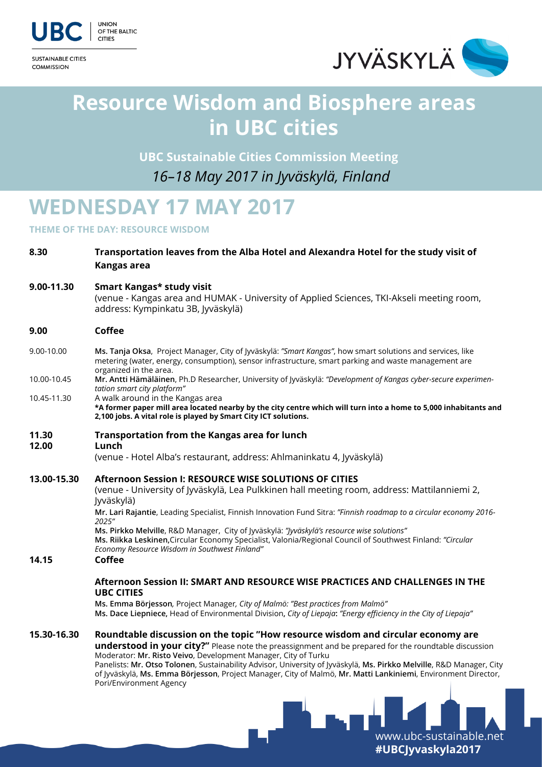

**COMMISSION** 



[www.ubc-sustainable.net](http://www.ubc-sustainable.net) **#UBCJyvaskyla2017**

## **Resource Wisdom and Biosphere areas in UBC cities**

 **UBC Sustainable Cities Commission Meeting**

*16–18 May 2017 in Jyväskylä, Finland* 

# **WEDNESDAY 17 MAY 2017**

**THEME OF THE DAY: RESOURCE WISDOM** 

| 8.30        | Transportation leaves from the Alba Hotel and Alexandra Hotel for the study visit of<br>Kangas area                                                                                                                                                                                                                                                                                                                                                                                                                                    |
|-------------|----------------------------------------------------------------------------------------------------------------------------------------------------------------------------------------------------------------------------------------------------------------------------------------------------------------------------------------------------------------------------------------------------------------------------------------------------------------------------------------------------------------------------------------|
| 9.00-11.30  | Smart Kangas* study visit<br>(venue - Kangas area and HUMAK - University of Applied Sciences, TKI-Akseli meeting room,<br>address: Kympinkatu 3B, Jyväskylä)                                                                                                                                                                                                                                                                                                                                                                           |
| 9.00        | <b>Coffee</b>                                                                                                                                                                                                                                                                                                                                                                                                                                                                                                                          |
| 9.00-10.00  | Ms. Tanja Oksa, Project Manager, City of Jyväskylä: "Smart Kangas", how smart solutions and services, like<br>metering (water, energy, consumption), sensor infrastructure, smart parking and waste management are                                                                                                                                                                                                                                                                                                                     |
| 10.00-10.45 | organized in the area.<br>Mr. Antti Hämäläinen, Ph.D Researcher, University of Jyväskylä: "Development of Kangas cyber-secure experimen-<br>tation smart city platform"                                                                                                                                                                                                                                                                                                                                                                |
| 10.45-11.30 | A walk around in the Kangas area<br>*A former paper mill area located nearby by the city centre which will turn into a home to 5,000 inhabitants and<br>2,100 jobs. A vital role is played by Smart City ICT solutions.                                                                                                                                                                                                                                                                                                                |
| 11.30       | <b>Transportation from the Kangas area for lunch</b>                                                                                                                                                                                                                                                                                                                                                                                                                                                                                   |
| 12.00       | Lunch<br>(venue - Hotel Alba's restaurant, address: Ahlmaninkatu 4, Jyväskylä)                                                                                                                                                                                                                                                                                                                                                                                                                                                         |
| 13.00-15.30 | Afternoon Session I: RESOURCE WISE SOLUTIONS OF CITIES<br>(venue - University of Jyväskylä, Lea Pulkkinen hall meeting room, address: Mattilanniemi 2,<br>Jyväskylä)<br>Mr. Lari Rajantie, Leading Specialist, Finnish Innovation Fund Sitra: "Finnish roadmap to a circular economy 2016-                                                                                                                                                                                                                                             |
| 14.15       | 2025"<br>Ms. Pirkko Melville, R&D Manager, City of Jyväskylä: "Jyväskylä's resource wise solutions"<br>Ms. Riikka Leskinen, Circular Economy Specialist, Valonia/Regional Council of Southwest Finland: "Circular<br>Economy Resource Wisdom in Southwest Finland"<br>Coffee                                                                                                                                                                                                                                                           |
|             | Afternoon Session II: SMART AND RESOURCE WISE PRACTICES AND CHALLENGES IN THE<br><b>UBC CITIES</b>                                                                                                                                                                                                                                                                                                                                                                                                                                     |
|             | Ms. Emma Börjesson, Project Manager, City of Malmö: "Best practices from Malmö"<br>Ms. Dace Liepniece, Head of Environmental Division, City of Liepaja: "Energy efficiency in the City of Liepaja"                                                                                                                                                                                                                                                                                                                                     |
| 15.30-16.30 | Roundtable discussion on the topic "How resource wisdom and circular economy are<br><b>understood in your city?"</b> Please note the preassignment and be prepared for the roundtable discussion<br>Moderator: Mr. Risto Veivo, Development Manager, City of Turku<br>Panelists: Mr. Otso Tolonen, Sustainability Advisor, University of Jyväskylä, Ms. Pirkko Melville, R&D Manager, City<br>of Jyväskylä, Ms. Emma Börjesson, Project Manager, City of Malmö, Mr. Matti Lankiniemi, Environment Director,<br>Pori/Environment Agency |
|             |                                                                                                                                                                                                                                                                                                                                                                                                                                                                                                                                        |